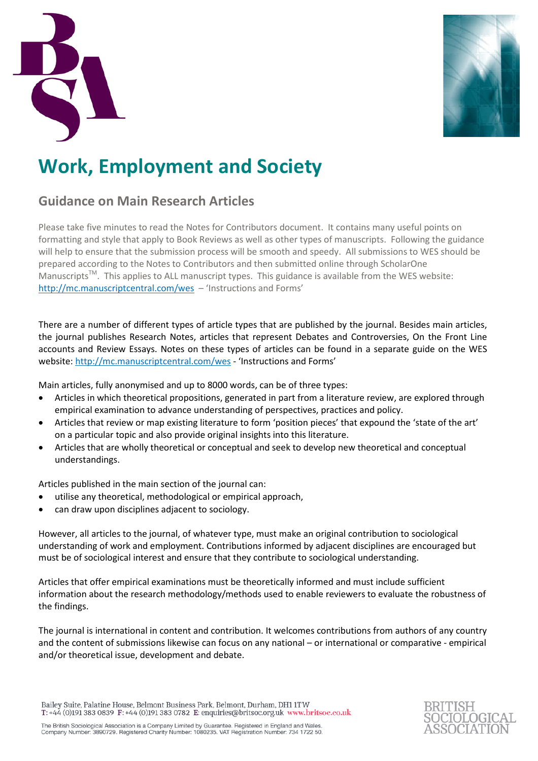



## **Work, Employment and Society**

## **Guidance on Main Research Articles**

Please take five minutes to read the Notes for Contributors document. It contains many useful points on formatting and style that apply to Book Reviews as well as other types of manuscripts. Following the guidance will help to ensure that the submission process will be smooth and speedy. All submissions to WES should be prepared according to the Notes to Contributors and then submitted online through ScholarOne Manuscripts<sup>TM</sup>. This applies to ALL manuscript types. This guidance is available from the WES website: <http://mc.manuscriptcentral.com/wes>– 'Instructions and Forms'

There are a number of different types of article types that are published by the journal. Besides main articles, the journal publishes Research Notes, articles that represent Debates and Controversies, On the Front Line accounts and Review Essays. Notes on these types of articles can be found in a separate guide on the WES website:<http://mc.manuscriptcentral.com/wes> - 'Instructions and Forms'

Main articles, fully anonymised and up to 8000 words, can be of three types:

- Articles in which theoretical propositions, generated in part from a literature review, are explored through empirical examination to advance understanding of perspectives, practices and policy.
- Articles that review or map existing literature to form 'position pieces' that expound the 'state of the art' on a particular topic and also provide original insights into this literature.
- Articles that are wholly theoretical or conceptual and seek to develop new theoretical and conceptual understandings.

Articles published in the main section of the journal can:

- utilise any theoretical, methodological or empirical approach,
- can draw upon disciplines adjacent to sociology.

However, all articles to the journal, of whatever type, must make an original contribution to sociological understanding of work and employment. Contributions informed by adjacent disciplines are encouraged but must be of sociological interest and ensure that they contribute to sociological understanding.

Articles that offer empirical examinations must be theoretically informed and must include sufficient information about the research methodology/methods used to enable reviewers to evaluate the robustness of the findings.

The journal is international in content and contribution. It welcomes contributions from authors of any country and the content of submissions likewise can focus on any national – or international or comparative - empirical and/or theoretical issue, development and debate.